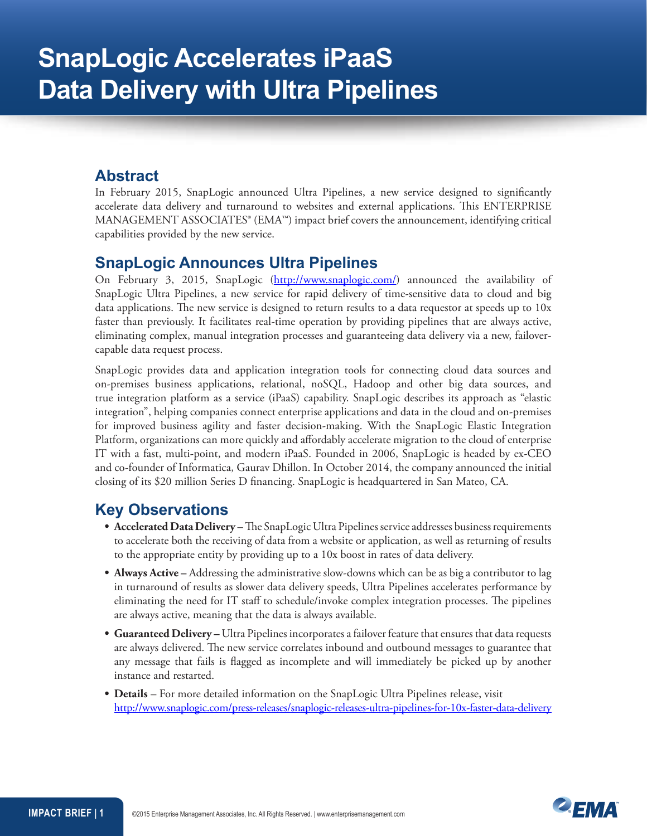## **Abstract**

In February 2015, SnapLogic announced Ultra Pipelines, a new service designed to significantly accelerate data delivery and turnaround to websites and external applications. This ENTERPRISE MANAGEMENT ASSOCIATES® (EMA™) impact brief covers the announcement, identifying critical capabilities provided by the new service.

## **SnapLogic Announces Ultra Pipelines**

On February 3, 2015, SnapLogic [\(http://www.snaplogic.com/](http://www.snaplogic.com/)) announced the availability of SnapLogic Ultra Pipelines, a new service for rapid delivery of time-sensitive data to cloud and big data applications. The new service is designed to return results to a data requestor at speeds up to 10x faster than previously. It facilitates real-time operation by providing pipelines that are always active, eliminating complex, manual integration processes and guaranteeing data delivery via a new, failovercapable data request process.

SnapLogic provides data and application integration tools for connecting cloud data sources and on-premises business applications, relational, noSQL, Hadoop and other big data sources, and true integration platform as a service (iPaaS) capability. SnapLogic describes its approach as "elastic integration", helping companies connect enterprise applications and data in the cloud and on-premises for improved business agility and faster decision-making. With the SnapLogic Elastic Integration Platform, organizations can more quickly and affordably accelerate migration to the cloud of enterprise IT with a fast, multi-point, and modern iPaaS. Founded in 2006, SnapLogic is headed by ex-CEO and co-founder of Informatica, Gaurav Dhillon. In October 2014, the company announced the initial closing of its \$20 million Series D financing. SnapLogic is headquartered in San Mateo, CA.

# **Key Observations**

- **• Accelerated Data Delivery** The SnapLogic Ultra Pipelines service addresses business requirements to accelerate both the receiving of data from a website or application, as well as returning of results to the appropriate entity by providing up to a 10x boost in rates of data delivery.
- **• Always Active** Addressing the administrative slow-downs which can be as big a contributor to lag in turnaround of results as slower data delivery speeds, Ultra Pipelines accelerates performance by eliminating the need for IT staff to schedule/invoke complex integration processes. The pipelines are always active, meaning that the data is always available.
- **• Guaranteed Delivery** Ultra Pipelines incorporates a failover feature that ensures that data requests are always delivered. The new service correlates inbound and outbound messages to guarantee that any message that fails is flagged as incomplete and will immediately be picked up by another instance and restarted.
- **• Details** For more detailed information on the SnapLogic Ultra Pipelines release, visit <http://www.snaplogic.com/press-releases/snaplogic-releases-ultra-pipelines-for-10x-faster-data-delivery>